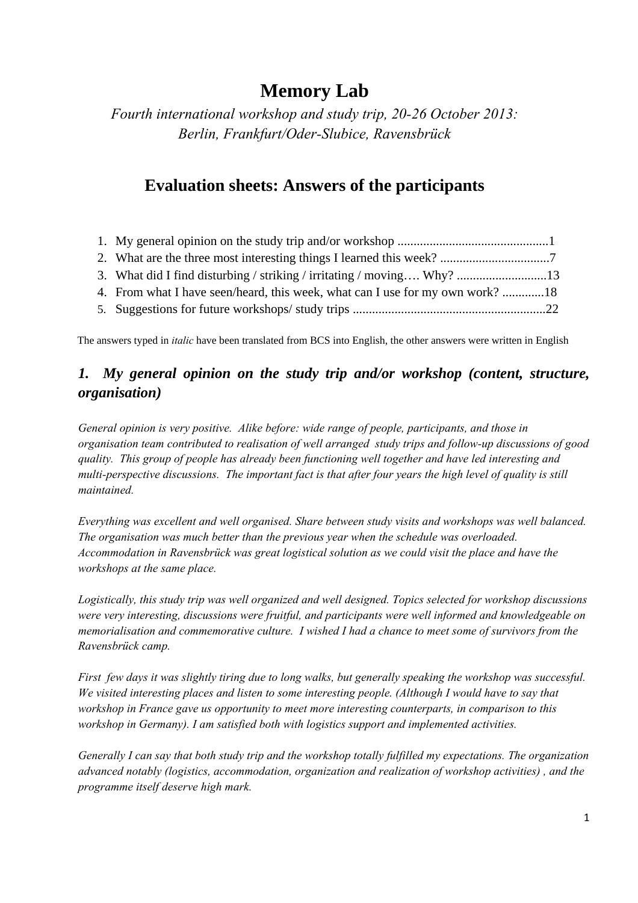# **Memory Lab**

*Fourth international workshop and study trip, 20-26 October 2013: Berlin, Frankfurt/Oder-Slubice, Ravensbrück* 

## **Evaluation sheets: Answers of the participants**

| 4. From what I have seen/heard, this week, what can I use for my own work? 18 |  |
|-------------------------------------------------------------------------------|--|
|                                                                               |  |

The answers typed in *italic* have been translated from BCS into English, the other answers were written in English

### *1. My general opinion on the study trip and/or workshop (content, structure, organisation)*

*General opinion is very positive. Alike before: wide range of people, participants, and those in organisation team contributed to realisation of well arranged study trips and follow-up discussions of good quality. This group of people has already been functioning well together and have led interesting and multi-perspective discussions. The important fact is that after four years the high level of quality is still maintained.* 

*Everything was excellent and well organised. Share between study visits and workshops was well balanced. The organisation was much better than the previous year when the schedule was overloaded. Accommodation in Ravensbrück was great logistical solution as we could visit the place and have the workshops at the same place.* 

*Logistically, this study trip was well organized and well designed. Topics selected for workshop discussions were very interesting, discussions were fruitful, and participants were well informed and knowledgeable on memorialisation and commemorative culture. I wished I had a chance to meet some of survivors from the Ravensbrück camp.* 

*First few days it was slightly tiring due to long walks, but generally speaking the workshop was successful. We visited interesting places and listen to some interesting people. (Although I would have to say that workshop in France gave us opportunity to meet more interesting counterparts, in comparison to this workshop in Germany). I am satisfied both with logistics support and implemented activities.* 

*Generally I can say that both study trip and the workshop totally fulfilled my expectations. The organization advanced notably (logistics, accommodation, organization and realization of workshop activities) , and the programme itself deserve high mark.*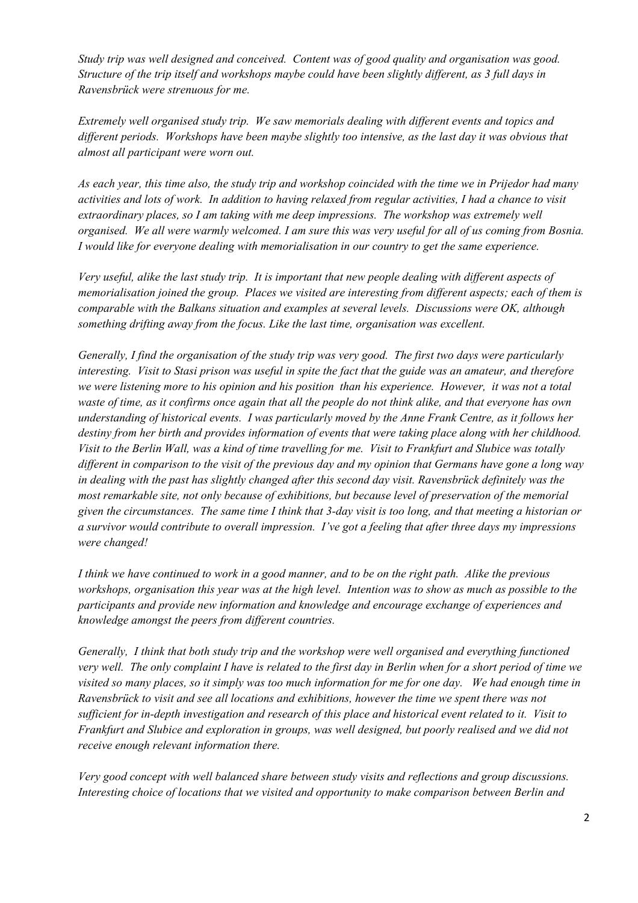*Study trip was well designed and conceived. Content was of good quality and organisation was good. Structure of the trip itself and workshops maybe could have been slightly different, as 3 full days in Ravensbrück were strenuous for me.* 

*Extremely well organised study trip. We saw memorials dealing with different events and topics and different periods. Workshops have been maybe slightly too intensive, as the last day it was obvious that almost all participant were worn out.* 

*As each year, this time also, the study trip and workshop coincided with the time we in Prijedor had many activities and lots of work. In addition to having relaxed from regular activities, I had a chance to visit extraordinary places, so I am taking with me deep impressions. The workshop was extremely well organised. We all were warmly welcomed. I am sure this was very useful for all of us coming from Bosnia. I would like for everyone dealing with memorialisation in our country to get the same experience.* 

*Very useful, alike the last study trip. It is important that new people dealing with different aspects of memorialisation joined the group. Places we visited are interesting from different aspects; each of them is comparable with the Balkans situation and examples at several levels. Discussions were OK, although something drifting away from the focus. Like the last time, organisation was excellent.* 

*Generally, I find the organisation of the study trip was very good. The first two days were particularly interesting. Visit to Stasi prison was useful in spite the fact that the guide was an amateur, and therefore we were listening more to his opinion and his position than his experience. However, it was not a total waste of time, as it confirms once again that all the people do not think alike, and that everyone has own understanding of historical events. I was particularly moved by the Anne Frank Centre, as it follows her destiny from her birth and provides information of events that were taking place along with her childhood. Visit to the Berlin Wall, was a kind of time travelling for me. Visit to Frankfurt and Slubice was totally different in comparison to the visit of the previous day and my opinion that Germans have gone a long way in dealing with the past has slightly changed after this second day visit. Ravensbrück definitely was the most remarkable site, not only because of exhibitions, but because level of preservation of the memorial given the circumstances. The same time I think that 3-day visit is too long, and that meeting a historian or a survivor would contribute to overall impression. I've got a feeling that after three days my impressions were changed!* 

*I think we have continued to work in a good manner, and to be on the right path. Alike the previous workshops, organisation this year was at the high level. Intention was to show as much as possible to the participants and provide new information and knowledge and encourage exchange of experiences and knowledge amongst the peers from different countries.* 

*Generally, I think that both study trip and the workshop were well organised and everything functioned very well. The only complaint I have is related to the first day in Berlin when for a short period of time we visited so many places, so it simply was too much information for me for one day. We had enough time in Ravensbrück to visit and see all locations and exhibitions, however the time we spent there was not sufficient for in-depth investigation and research of this place and historical event related to it. Visit to Frankfurt and Slubice and exploration in groups, was well designed, but poorly realised and we did not receive enough relevant information there.* 

*Very good concept with well balanced share between study visits and reflections and group discussions. Interesting choice of locations that we visited and opportunity to make comparison between Berlin and*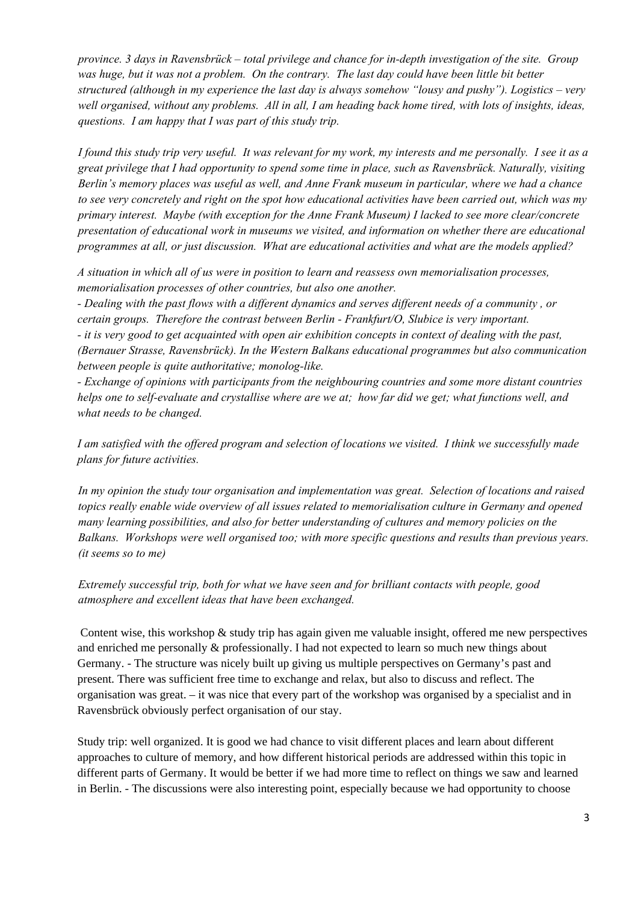*province. 3 days in Ravensbrück – total privilege and chance for in-depth investigation of the site. Group was huge, but it was not a problem. On the contrary. The last day could have been little bit better structured (although in my experience the last day is always somehow "lousy and pushy"). Logistics – very*  well organised, without any problems. All in all, I am heading back home tired, with lots of insights, ideas, *questions. I am happy that I was part of this study trip.* 

*I found this study trip very useful. It was relevant for my work, my interests and me personally. I see it as a great privilege that I had opportunity to spend some time in place, such as Ravensbrück. Naturally, visiting Berlin's memory places was useful as well, and Anne Frank museum in particular, where we had a chance to see very concretely and right on the spot how educational activities have been carried out, which was my primary interest. Maybe (with exception for the Anne Frank Museum) I lacked to see more clear/concrete presentation of educational work in museums we visited, and information on whether there are educational programmes at all, or just discussion. What are educational activities and what are the models applied?* 

*A situation in which all of us were in position to learn and reassess own memorialisation processes, memorialisation processes of other countries, but also one another.* 

*- Dealing with the past flows with a different dynamics and serves different needs of a community , or certain groups. Therefore the contrast between Berlin - Frankfurt/O, Slubice is very important. - it is very good to get acquainted with open air exhibition concepts in context of dealing with the past, (Bernauer Strasse, Ravensbrück). In the Western Balkans educational programmes but also communication between people is quite authoritative; monolog-like.* 

*- Exchange of opinions with participants from the neighbouring countries and some more distant countries helps one to self-evaluate and crystallise where are we at; how far did we get; what functions well, and what needs to be changed.* 

*I am satisfied with the offered program and selection of locations we visited. I think we successfully made plans for future activities.* 

*In my opinion the study tour organisation and implementation was great. Selection of locations and raised topics really enable wide overview of all issues related to memorialisation culture in Germany and opened many learning possibilities, and also for better understanding of cultures and memory policies on the Balkans. Workshops were well organised too; with more specific questions and results than previous years. (it seems so to me)* 

*Extremely successful trip, both for what we have seen and for brilliant contacts with people, good atmosphere and excellent ideas that have been exchanged.* 

 Content wise, this workshop & study trip has again given me valuable insight, offered me new perspectives and enriched me personally & professionally. I had not expected to learn so much new things about Germany. - The structure was nicely built up giving us multiple perspectives on Germany's past and present. There was sufficient free time to exchange and relax, but also to discuss and reflect. The organisation was great. – it was nice that every part of the workshop was organised by a specialist and in Ravensbrück obviously perfect organisation of our stay.

Study trip: well organized. It is good we had chance to visit different places and learn about different approaches to culture of memory, and how different historical periods are addressed within this topic in different parts of Germany. It would be better if we had more time to reflect on things we saw and learned in Berlin. - The discussions were also interesting point, especially because we had opportunity to choose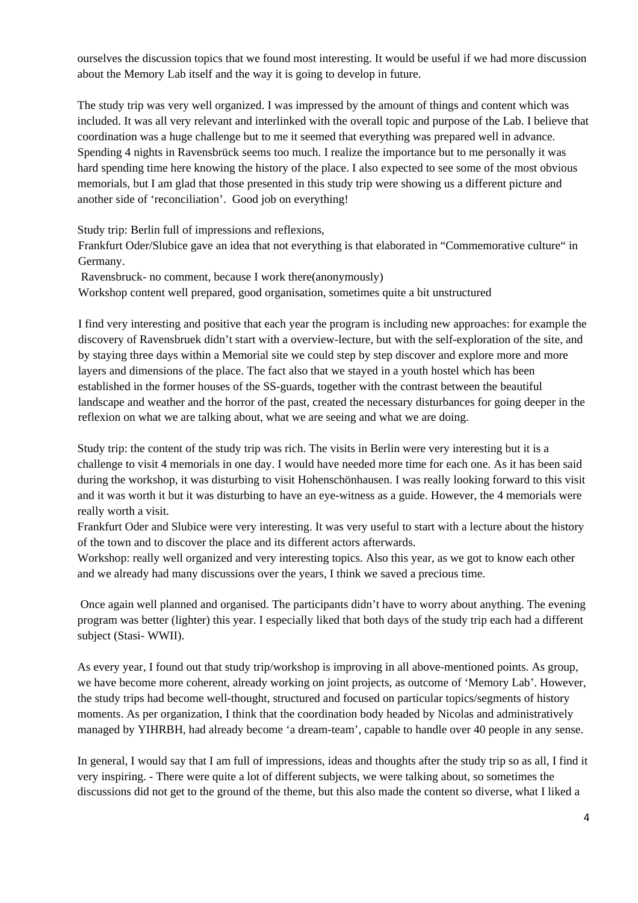ourselves the discussion topics that we found most interesting. It would be useful if we had more discussion about the Memory Lab itself and the way it is going to develop in future.

The study trip was very well organized. I was impressed by the amount of things and content which was included. It was all very relevant and interlinked with the overall topic and purpose of the Lab. I believe that coordination was a huge challenge but to me it seemed that everything was prepared well in advance. Spending 4 nights in Ravensbrück seems too much. I realize the importance but to me personally it was hard spending time here knowing the history of the place. I also expected to see some of the most obvious memorials, but I am glad that those presented in this study trip were showing us a different picture and another side of 'reconciliation'. Good job on everything!

Study trip: Berlin full of impressions and reflexions,

Frankfurt Oder/Slubice gave an idea that not everything is that elaborated in "Commemorative culture" in Germany.

Ravensbruck- no comment, because I work there(anonymously)

Workshop content well prepared, good organisation, sometimes quite a bit unstructured

I find very interesting and positive that each year the program is including new approaches: for example the discovery of Ravensbruek didn't start with a overview-lecture, but with the self-exploration of the site, and by staying three days within a Memorial site we could step by step discover and explore more and more layers and dimensions of the place. The fact also that we stayed in a youth hostel which has been established in the former houses of the SS-guards, together with the contrast between the beautiful landscape and weather and the horror of the past, created the necessary disturbances for going deeper in the reflexion on what we are talking about, what we are seeing and what we are doing.

Study trip: the content of the study trip was rich. The visits in Berlin were very interesting but it is a challenge to visit 4 memorials in one day. I would have needed more time for each one. As it has been said during the workshop, it was disturbing to visit Hohenschönhausen. I was really looking forward to this visit and it was worth it but it was disturbing to have an eye-witness as a guide. However, the 4 memorials were really worth a visit.

Frankfurt Oder and Slubice were very interesting. It was very useful to start with a lecture about the history of the town and to discover the place and its different actors afterwards.

Workshop: really well organized and very interesting topics. Also this year, as we got to know each other and we already had many discussions over the years, I think we saved a precious time.

 Once again well planned and organised. The participants didn't have to worry about anything. The evening program was better (lighter) this year. I especially liked that both days of the study trip each had a different subject (Stasi- WWII).

As every year, I found out that study trip/workshop is improving in all above-mentioned points. As group, we have become more coherent, already working on joint projects, as outcome of 'Memory Lab'. However, the study trips had become well-thought, structured and focused on particular topics/segments of history moments. As per organization, I think that the coordination body headed by Nicolas and administratively managed by YIHRBH, had already become 'a dream-team', capable to handle over 40 people in any sense.

In general, I would say that I am full of impressions, ideas and thoughts after the study trip so as all, I find it very inspiring. - There were quite a lot of different subjects, we were talking about, so sometimes the discussions did not get to the ground of the theme, but this also made the content so diverse, what I liked a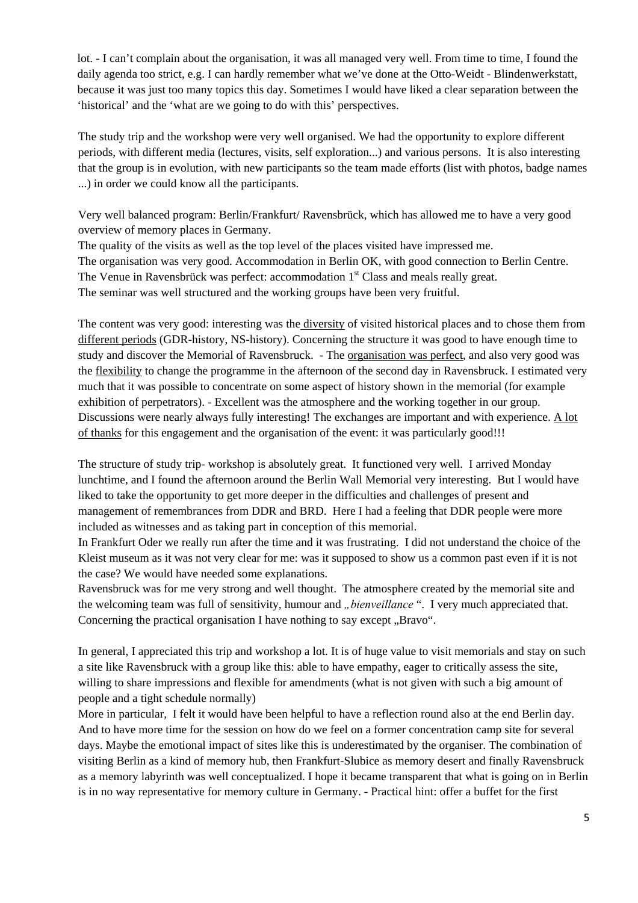lot. - I can't complain about the organisation, it was all managed very well. From time to time, I found the daily agenda too strict, e.g. I can hardly remember what we've done at the Otto-Weidt - Blindenwerkstatt, because it was just too many topics this day. Sometimes I would have liked a clear separation between the 'historical' and the 'what are we going to do with this' perspectives.

The study trip and the workshop were very well organised. We had the opportunity to explore different periods, with different media (lectures, visits, self exploration...) and various persons. It is also interesting that the group is in evolution, with new participants so the team made efforts (list with photos, badge names ...) in order we could know all the participants.

Very well balanced program: Berlin/Frankfurt/ Ravensbrück, which has allowed me to have a very good overview of memory places in Germany.

The quality of the visits as well as the top level of the places visited have impressed me. The organisation was very good. Accommodation in Berlin OK, with good connection to Berlin Centre. The Venue in Ravensbrück was perfect: accommodation  $1<sup>st</sup>$  Class and meals really great. The seminar was well structured and the working groups have been very fruitful.

The content was very good: interesting was the diversity of visited historical places and to chose them from different periods (GDR-history, NS-history). Concerning the structure it was good to have enough time to study and discover the Memorial of Ravensbruck. - The organisation was perfect, and also very good was the flexibility to change the programme in the afternoon of the second day in Ravensbruck. I estimated very much that it was possible to concentrate on some aspect of history shown in the memorial (for example exhibition of perpetrators). - Excellent was the atmosphere and the working together in our group. Discussions were nearly always fully interesting! The exchanges are important and with experience. A lot of thanks for this engagement and the organisation of the event: it was particularly good!!!

The structure of study trip- workshop is absolutely great. It functioned very well. I arrived Monday lunchtime, and I found the afternoon around the Berlin Wall Memorial very interesting. But I would have liked to take the opportunity to get more deeper in the difficulties and challenges of present and management of remembrances from DDR and BRD. Here I had a feeling that DDR people were more included as witnesses and as taking part in conception of this memorial.

In Frankfurt Oder we really run after the time and it was frustrating. I did not understand the choice of the Kleist museum as it was not very clear for me: was it supposed to show us a common past even if it is not the case? We would have needed some explanations.

Ravensbruck was for me very strong and well thought. The atmosphere created by the memorial site and the welcoming team was full of sensitivity, humour and *"bienveillance* ". I very much appreciated that. Concerning the practical organisation I have nothing to say except . Bravo".

In general, I appreciated this trip and workshop a lot. It is of huge value to visit memorials and stay on such a site like Ravensbruck with a group like this: able to have empathy, eager to critically assess the site, willing to share impressions and flexible for amendments (what is not given with such a big amount of people and a tight schedule normally)

More in particular, I felt it would have been helpful to have a reflection round also at the end Berlin day. And to have more time for the session on how do we feel on a former concentration camp site for several days. Maybe the emotional impact of sites like this is underestimated by the organiser. The combination of visiting Berlin as a kind of memory hub, then Frankfurt-Slubice as memory desert and finally Ravensbruck as a memory labyrinth was well conceptualized. I hope it became transparent that what is going on in Berlin is in no way representative for memory culture in Germany. - Practical hint: offer a buffet for the first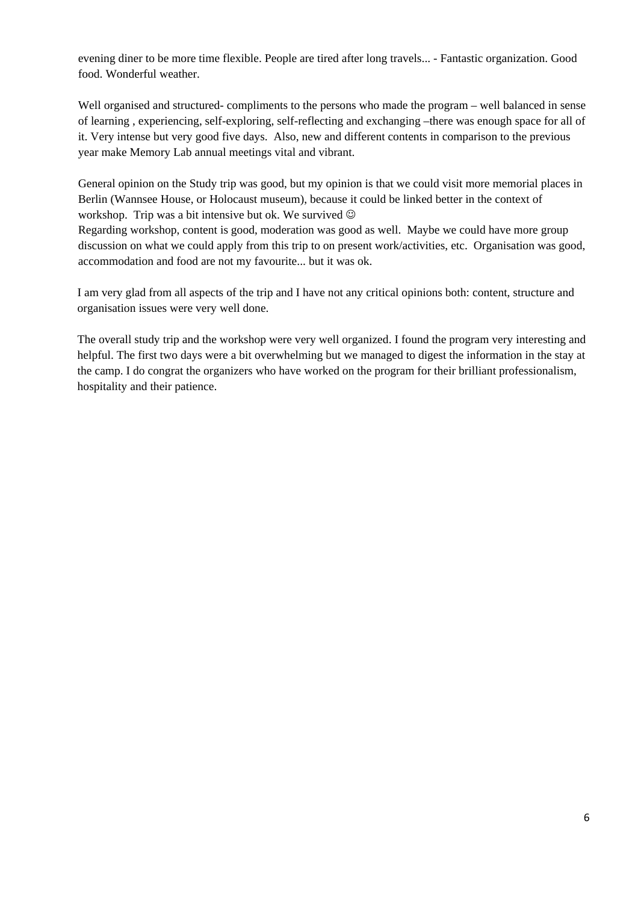evening diner to be more time flexible. People are tired after long travels... - Fantastic organization. Good food. Wonderful weather.

Well organised and structured- compliments to the persons who made the program – well balanced in sense of learning , experiencing, self-exploring, self-reflecting and exchanging –there was enough space for all of it. Very intense but very good five days. Also, new and different contents in comparison to the previous year make Memory Lab annual meetings vital and vibrant.

General opinion on the Study trip was good, but my opinion is that we could visit more memorial places in Berlin (Wannsee House, or Holocaust museum), because it could be linked better in the context of workshop. Trip was a bit intensive but ok. We survived  $\odot$ 

Regarding workshop, content is good, moderation was good as well. Maybe we could have more group discussion on what we could apply from this trip to on present work/activities, etc. Organisation was good, accommodation and food are not my favourite... but it was ok.

I am very glad from all aspects of the trip and I have not any critical opinions both: content, structure and organisation issues were very well done.

The overall study trip and the workshop were very well organized. I found the program very interesting and helpful. The first two days were a bit overwhelming but we managed to digest the information in the stay at the camp. I do congrat the organizers who have worked on the program for their brilliant professionalism, hospitality and their patience.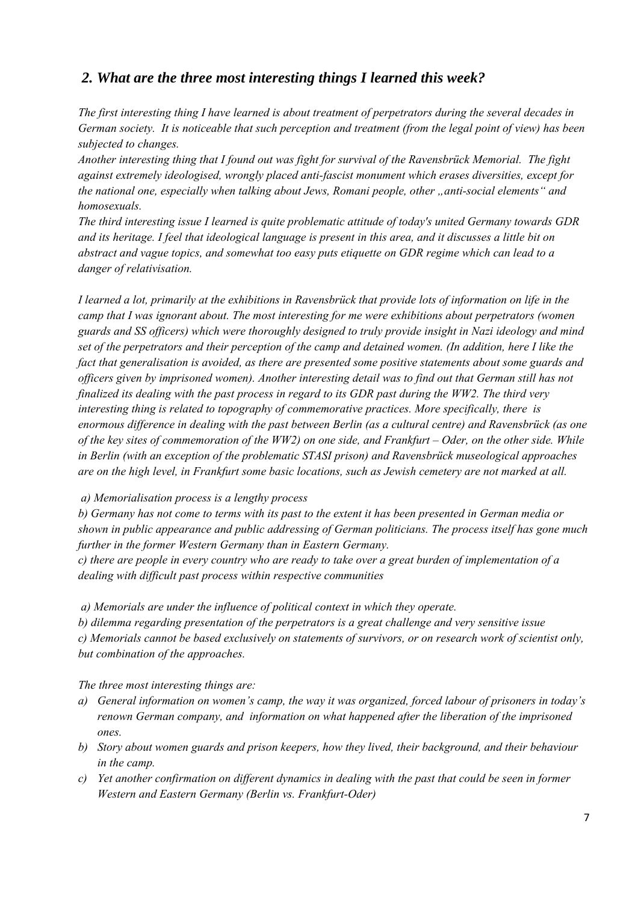### *2. What are the three most interesting things I learned this week?*

*The first interesting thing I have learned is about treatment of perpetrators during the several decades in German society. It is noticeable that such perception and treatment (from the legal point of view) has been subjected to changes.* 

*Another interesting thing that I found out was fight for survival of the Ravensbrück Memorial. The fight against extremely ideologised, wrongly placed anti-fascist monument which erases diversities, except for*  the national one, especially when talking about Jews, Romani people, other "anti-social elements" and *homosexuals.* 

*The third interesting issue I learned is quite problematic attitude of today's united Germany towards GDR and its heritage. I feel that ideological language is present in this area, and it discusses a little bit on abstract and vague topics, and somewhat too easy puts etiquette on GDR regime which can lead to a danger of relativisation.* 

*I learned a lot, primarily at the exhibitions in Ravensbrück that provide lots of information on life in the camp that I was ignorant about. The most interesting for me were exhibitions about perpetrators (women guards and SS officers) which were thoroughly designed to truly provide insight in Nazi ideology and mind set of the perpetrators and their perception of the camp and detained women. (In addition, here I like the fact that generalisation is avoided, as there are presented some positive statements about some guards and officers given by imprisoned women). Another interesting detail was to find out that German still has not finalized its dealing with the past process in regard to its GDR past during the WW2. The third very interesting thing is related to topography of commemorative practices. More specifically, there is enormous difference in dealing with the past between Berlin (as a cultural centre) and Ravensbrück (as one of the key sites of commemoration of the WW2) on one side, and Frankfurt – Oder, on the other side. While in Berlin (with an exception of the problematic STASI prison) and Ravensbrück museological approaches are on the high level, in Frankfurt some basic locations, such as Jewish cemetery are not marked at all.* 

 *a) Memorialisation process is a lengthy process* 

*b) Germany has not come to terms with its past to the extent it has been presented in German media or shown in public appearance and public addressing of German politicians. The process itself has gone much further in the former Western Germany than in Eastern Germany.* 

*c) there are people in every country who are ready to take over a great burden of implementation of a dealing with difficult past process within respective communities* 

 *a) Memorials are under the influence of political context in which they operate.* 

*b) dilemma regarding presentation of the perpetrators is a great challenge and very sensitive issue c) Memorials cannot be based exclusively on statements of survivors, or on research work of scientist only, but combination of the approaches.* 

*The three most interesting things are:* 

- *a) General information on women's camp, the way it was organized, forced labour of prisoners in today's renown German company, and information on what happened after the liberation of the imprisoned ones.*
- *b) Story about women guards and prison keepers, how they lived, their background, and their behaviour in the camp.*
- *c) Yet another confirmation on different dynamics in dealing with the past that could be seen in former Western and Eastern Germany (Berlin vs. Frankfurt-Oder)*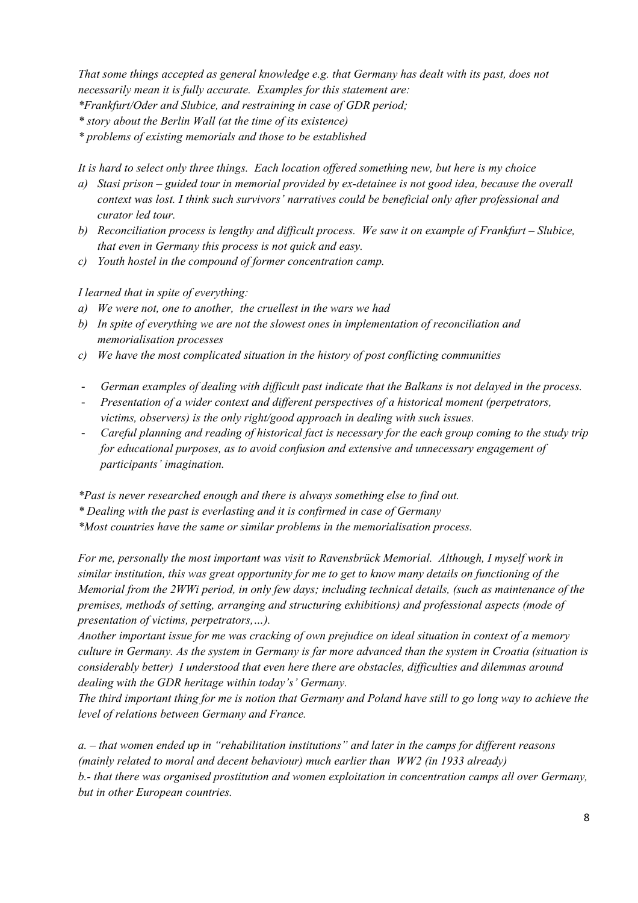*That some things accepted as general knowledge e.g. that Germany has dealt with its past, does not necessarily mean it is fully accurate. Examples for this statement are: \*Frankfurt/Oder and Slubice, and restraining in case of GDR period;* 

*\* story about the Berlin Wall (at the time of its existence)* 

*\* problems of existing memorials and those to be established* 

*It is hard to select only three things. Each location offered something new, but here is my choice* 

- *a) Stasi prison guided tour in memorial provided by ex-detainee is not good idea, because the overall context was lost. I think such survivors' narratives could be beneficial only after professional and curator led tour.*
- *b) Reconciliation process is lengthy and difficult process. We saw it on example of Frankfurt Slubice, that even in Germany this process is not quick and easy.*
- *c) Youth hostel in the compound of former concentration camp.*

*I learned that in spite of everything:* 

- *a) We were not, one to another, the cruellest in the wars we had*
- *b) In spite of everything we are not the slowest ones in implementation of reconciliation and memorialisation processes*
- *c) We have the most complicated situation in the history of post conflicting communities*
- *German examples of dealing with difficult past indicate that the Balkans is not delayed in the process.*
- *Presentation of a wider context and different perspectives of a historical moment (perpetrators, victims, observers) is the only right/good approach in dealing with such issues.*
- *Careful planning and reading of historical fact is necessary for the each group coming to the study trip for educational purposes, as to avoid confusion and extensive and unnecessary engagement of participants' imagination.*

*\*Past is never researched enough and there is always something else to find out.* 

*\* Dealing with the past is everlasting and it is confirmed in case of Germany* 

*\*Most countries have the same or similar problems in the memorialisation process.* 

*For me, personally the most important was visit to Ravensbrück Memorial. Although, I myself work in similar institution, this was great opportunity for me to get to know many details on functioning of the Memorial from the 2WWi period, in only few days; including technical details, (such as maintenance of the premises, methods of setting, arranging and structuring exhibitions) and professional aspects (mode of presentation of victims, perpetrators,…).* 

*Another important issue for me was cracking of own prejudice on ideal situation in context of a memory culture in Germany. As the system in Germany is far more advanced than the system in Croatia (situation is considerably better) I understood that even here there are obstacles, difficulties and dilemmas around dealing with the GDR heritage within today's' Germany.* 

*The third important thing for me is notion that Germany and Poland have still to go long way to achieve the level of relations between Germany and France.* 

*a. – that women ended up in "rehabilitation institutions" and later in the camps for different reasons (mainly related to moral and decent behaviour) much earlier than WW2 (in 1933 already) b.- that there was organised prostitution and women exploitation in concentration camps all over Germany, but in other European countries.*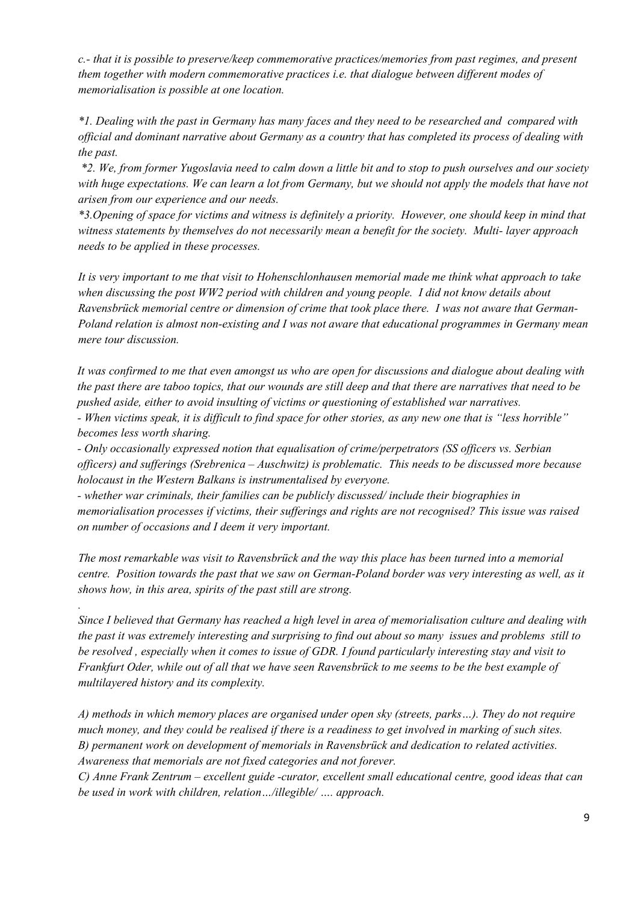*c.- that it is possible to preserve/keep commemorative practices/memories from past regimes, and present them together with modern commemorative practices i.e. that dialogue between different modes of memorialisation is possible at one location.* 

*\*1. Dealing with the past in Germany has many faces and they need to be researched and compared with official and dominant narrative about Germany as a country that has completed its process of dealing with the past.* 

 *\*2. We, from former Yugoslavia need to calm down a little bit and to stop to push ourselves and our society with huge expectations. We can learn a lot from Germany, but we should not apply the models that have not arisen from our experience and our needs.* 

*\*3.Opening of space for victims and witness is definitely a priority. However, one should keep in mind that witness statements by themselves do not necessarily mean a benefit for the society. Multi- layer approach needs to be applied in these processes.* 

*It is very important to me that visit to Hohenschlonhausen memorial made me think what approach to take when discussing the post WW2 period with children and young people. I did not know details about Ravensbrück memorial centre or dimension of crime that took place there. I was not aware that German-Poland relation is almost non-existing and I was not aware that educational programmes in Germany mean mere tour discussion.* 

*It was confirmed to me that even amongst us who are open for discussions and dialogue about dealing with the past there are taboo topics, that our wounds are still deep and that there are narratives that need to be pushed aside, either to avoid insulting of victims or questioning of established war narratives.* 

*- When victims speak, it is difficult to find space for other stories, as any new one that is "less horrible" becomes less worth sharing.* 

*- Only occasionally expressed notion that equalisation of crime/perpetrators (SS officers vs. Serbian officers) and sufferings (Srebrenica – Auschwitz) is problematic. This needs to be discussed more because holocaust in the Western Balkans is instrumentalised by everyone.* 

*- whether war criminals, their families can be publicly discussed/ include their biographies in memorialisation processes if victims, their sufferings and rights are not recognised? This issue was raised on number of occasions and I deem it very important.* 

*The most remarkable was visit to Ravensbrück and the way this place has been turned into a memorial centre. Position towards the past that we saw on German-Poland border was very interesting as well, as it shows how, in this area, spirits of the past still are strong.* 

*.* 

*Since I believed that Germany has reached a high level in area of memorialisation culture and dealing with the past it was extremely interesting and surprising to find out about so many issues and problems still to be resolved , especially when it comes to issue of GDR. I found particularly interesting stay and visit to Frankfurt Oder, while out of all that we have seen Ravensbrück to me seems to be the best example of multilayered history and its complexity.* 

*A) methods in which memory places are organised under open sky (streets, parks…). They do not require much money, and they could be realised if there is a readiness to get involved in marking of such sites. B) permanent work on development of memorials in Ravensbrück and dedication to related activities. Awareness that memorials are not fixed categories and not forever.* 

*C) Anne Frank Zentrum – excellent guide -curator, excellent small educational centre, good ideas that can be used in work with children, relation…/illegible/ …. approach.*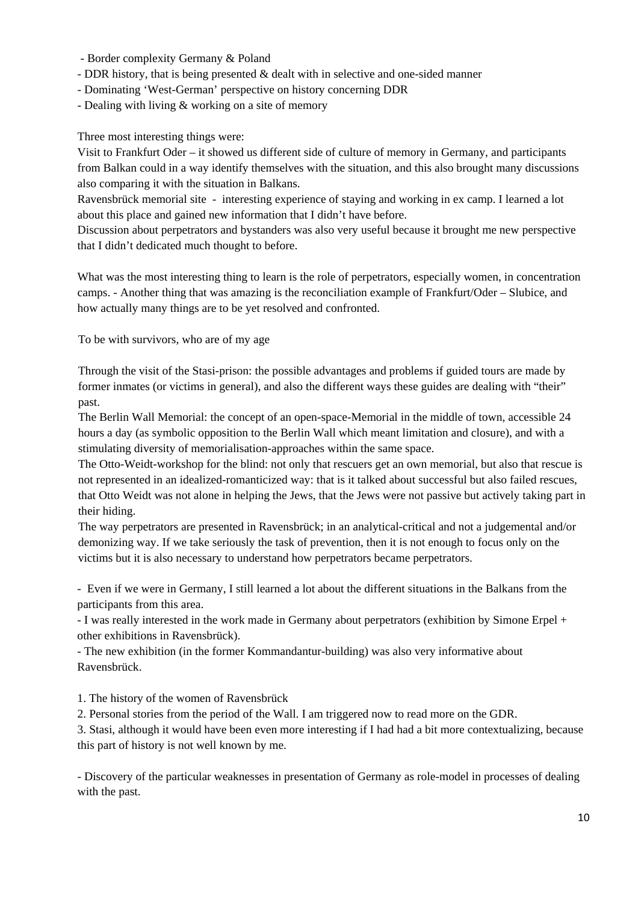- Border complexity Germany & Poland
- DDR history, that is being presented & dealt with in selective and one-sided manner
- Dominating 'West-German' perspective on history concerning DDR
- Dealing with living & working on a site of memory

Three most interesting things were:

Visit to Frankfurt Oder – it showed us different side of culture of memory in Germany, and participants from Balkan could in a way identify themselves with the situation, and this also brought many discussions also comparing it with the situation in Balkans.

Ravensbrück memorial site - interesting experience of staying and working in ex camp. I learned a lot about this place and gained new information that I didn't have before.

Discussion about perpetrators and bystanders was also very useful because it brought me new perspective that I didn't dedicated much thought to before.

What was the most interesting thing to learn is the role of perpetrators, especially women, in concentration camps. - Another thing that was amazing is the reconciliation example of Frankfurt/Oder – Slubice, and how actually many things are to be yet resolved and confronted.

To be with survivors, who are of my age

Through the visit of the Stasi-prison: the possible advantages and problems if guided tours are made by former inmates (or victims in general), and also the different ways these guides are dealing with "their" past.

The Berlin Wall Memorial: the concept of an open-space-Memorial in the middle of town, accessible 24 hours a day (as symbolic opposition to the Berlin Wall which meant limitation and closure), and with a stimulating diversity of memorialisation-approaches within the same space.

The Otto-Weidt-workshop for the blind: not only that rescuers get an own memorial, but also that rescue is not represented in an idealized-romanticized way: that is it talked about successful but also failed rescues, that Otto Weidt was not alone in helping the Jews, that the Jews were not passive but actively taking part in their hiding.

The way perpetrators are presented in Ravensbrück; in an analytical-critical and not a judgemental and/or demonizing way. If we take seriously the task of prevention, then it is not enough to focus only on the victims but it is also necessary to understand how perpetrators became perpetrators.

- Even if we were in Germany, I still learned a lot about the different situations in the Balkans from the participants from this area.

- I was really interested in the work made in Germany about perpetrators (exhibition by Simone Erpel + other exhibitions in Ravensbrück).

- The new exhibition (in the former Kommandantur-building) was also very informative about Ravensbrück.

1. The history of the women of Ravensbrück

2. Personal stories from the period of the Wall. I am triggered now to read more on the GDR.

3. Stasi, although it would have been even more interesting if I had had a bit more contextualizing, because this part of history is not well known by me.

- Discovery of the particular weaknesses in presentation of Germany as role-model in processes of dealing with the past.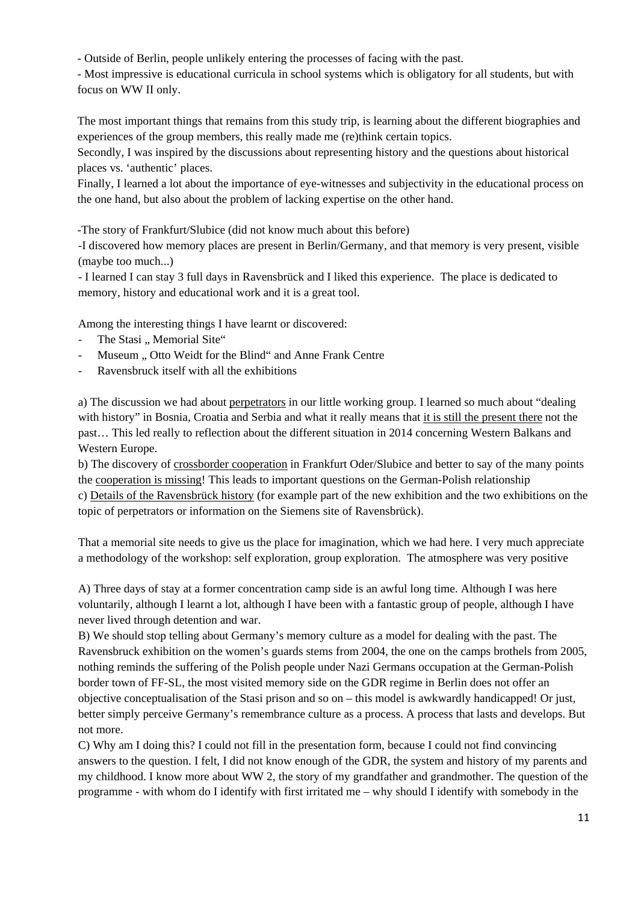- Outside of Berlin, people unlikely entering the processes of facing with the past.

- Most impressive is educational curricula in school systems which is obligatory for all students, but with focus on WW II only.

The most important things that remains from this study trip, is learning about the different biographies and experiences of the group members, this really made me (re)think certain topics.

Secondly, I was inspired by the discussions about representing history and the questions about historical places vs. 'authentic' places.

Finally, I learned a lot about the importance of eye-witnesses and subjectivity in the educational process on the one hand, but also about the problem of lacking expertise on the other hand.

-The story of Frankfurt/Slubice (did not know much about this before)

-I discovered how memory places are present in Berlin/Germany, and that memory is very present, visible (maybe too much...)

- I learned I can stay 3 full days in Ravensbrück and I liked this experience. The place is dedicated to memory, history and educational work and it is a great tool.

Among the interesting things I have learnt or discovered:

- The Stasi " Memorial Site"
- Museum .. Otto Weidt for the Blind" and Anne Frank Centre
- Ravensbruck itself with all the exhibitions

a) The discussion we had about perpetrators in our little working group. I learned so much about "dealing with history" in Bosnia, Croatia and Serbia and what it really means that it is still the present there not the past… This led really to reflection about the different situation in 2014 concerning Western Balkans and Western Europe.

b) The discovery of crossborder cooperation in Frankfurt Oder/Slubice and better to say of the many points the cooperation is missing! This leads to important questions on the German-Polish relationship c) Details of the Ravensbrück history (for example part of the new exhibition and the two exhibitions on the topic of perpetrators or information on the Siemens site of Ravensbrück).

That a memorial site needs to give us the place for imagination, which we had here. I very much appreciate a methodology of the workshop: self exploration, group exploration. The atmosphere was very positive

A) Three days of stay at a former concentration camp side is an awful long time. Although I was here voluntarily, although I learnt a lot, although I have been with a fantastic group of people, although I have never lived through detention and war.

B) We should stop telling about Germany's memory culture as a model for dealing with the past. The Ravensbruck exhibition on the women's guards stems from 2004, the one on the camps brothels from 2005, nothing reminds the suffering of the Polish people under Nazi Germans occupation at the German-Polish border town of FF-SL, the most visited memory side on the GDR regime in Berlin does not offer an objective conceptualisation of the Stasi prison and so on – this model is awkwardly handicapped! Or just, better simply perceive Germany's remembrance culture as a process. A process that lasts and develops. But not more.

C) Why am I doing this? I could not fill in the presentation form, because I could not find convincing answers to the question. I felt, I did not know enough of the GDR, the system and history of my parents and my childhood. I know more about WW 2, the story of my grandfather and grandmother. The question of the programme - with whom do I identify with first irritated me – why should I identify with somebody in the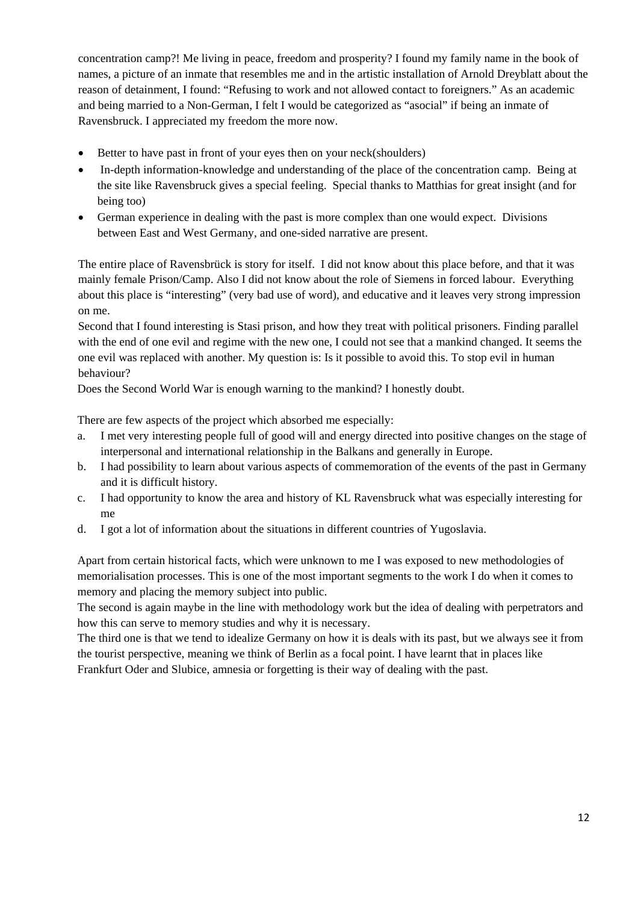concentration camp?! Me living in peace, freedom and prosperity? I found my family name in the book of names, a picture of an inmate that resembles me and in the artistic installation of Arnold Dreyblatt about the reason of detainment, I found: "Refusing to work and not allowed contact to foreigners." As an academic and being married to a Non-German, I felt I would be categorized as "asocial" if being an inmate of Ravensbruck. I appreciated my freedom the more now.

- Better to have past in front of your eyes then on your neck(shoulders)
- In-depth information-knowledge and understanding of the place of the concentration camp. Being at the site like Ravensbruck gives a special feeling. Special thanks to Matthias for great insight (and for being too)
- German experience in dealing with the past is more complex than one would expect. Divisions between East and West Germany, and one-sided narrative are present.

The entire place of Ravensbrück is story for itself. I did not know about this place before, and that it was mainly female Prison/Camp. Also I did not know about the role of Siemens in forced labour. Everything about this place is "interesting" (very bad use of word), and educative and it leaves very strong impression on me.

Second that I found interesting is Stasi prison, and how they treat with political prisoners. Finding parallel with the end of one evil and regime with the new one, I could not see that a mankind changed. It seems the one evil was replaced with another. My question is: Is it possible to avoid this. To stop evil in human behaviour?

Does the Second World War is enough warning to the mankind? I honestly doubt.

There are few aspects of the project which absorbed me especially:

- a. I met very interesting people full of good will and energy directed into positive changes on the stage of interpersonal and international relationship in the Balkans and generally in Europe.
- b. I had possibility to learn about various aspects of commemoration of the events of the past in Germany and it is difficult history.
- c. I had opportunity to know the area and history of KL Ravensbruck what was especially interesting for me
- d. I got a lot of information about the situations in different countries of Yugoslavia.

Apart from certain historical facts, which were unknown to me I was exposed to new methodologies of memorialisation processes. This is one of the most important segments to the work I do when it comes to memory and placing the memory subject into public.

The second is again maybe in the line with methodology work but the idea of dealing with perpetrators and how this can serve to memory studies and why it is necessary.

The third one is that we tend to idealize Germany on how it is deals with its past, but we always see it from the tourist perspective, meaning we think of Berlin as a focal point. I have learnt that in places like Frankfurt Oder and Slubice, amnesia or forgetting is their way of dealing with the past.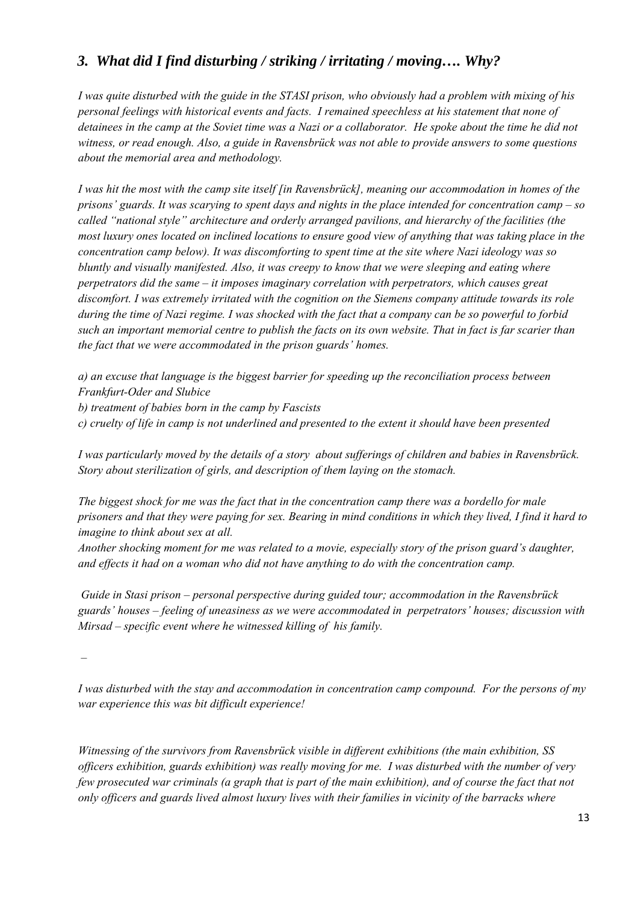### *3. What did I find disturbing / striking / irritating / moving…. Why?*

*I was quite disturbed with the guide in the STASI prison, who obviously had a problem with mixing of his personal feelings with historical events and facts. I remained speechless at his statement that none of detainees in the camp at the Soviet time was a Nazi or a collaborator. He spoke about the time he did not witness, or read enough. Also, a guide in Ravensbrück was not able to provide answers to some questions about the memorial area and methodology.* 

*I was hit the most with the camp site itself [in Ravensbrück], meaning our accommodation in homes of the prisons' guards. It was scarying to spent days and nights in the place intended for concentration camp – so called "national style" architecture and orderly arranged pavilions, and hierarchy of the facilities (the most luxury ones located on inclined locations to ensure good view of anything that was taking place in the concentration camp below). It was discomforting to spent time at the site where Nazi ideology was so bluntly and visually manifested. Also, it was creepy to know that we were sleeping and eating where perpetrators did the same – it imposes imaginary correlation with perpetrators, which causes great discomfort. I was extremely irritated with the cognition on the Siemens company attitude towards its role during the time of Nazi regime. I was shocked with the fact that a company can be so powerful to forbid such an important memorial centre to publish the facts on its own website. That in fact is far scarier than the fact that we were accommodated in the prison guards' homes.* 

*a) an excuse that language is the biggest barrier for speeding up the reconciliation process between Frankfurt-Oder and Slubice* 

*b) treatment of babies born in the camp by Fascists* 

*c) cruelty of life in camp is not underlined and presented to the extent it should have been presented* 

*I was particularly moved by the details of a story about sufferings of children and babies in Ravensbrück. Story about sterilization of girls, and description of them laying on the stomach.* 

*The biggest shock for me was the fact that in the concentration camp there was a bordello for male prisoners and that they were paying for sex. Bearing in mind conditions in which they lived, I find it hard to imagine to think about sex at all.* 

*Another shocking moment for me was related to a movie, especially story of the prison guard's daughter, and effects it had on a woman who did not have anything to do with the concentration camp.* 

 *Guide in Stasi prison – personal perspective during guided tour; accommodation in the Ravensbrück guards' houses – feeling of uneasiness as we were accommodated in perpetrators' houses; discussion with Mirsad – specific event where he witnessed killing of his family.* 

 *–* 

*I was disturbed with the stay and accommodation in concentration camp compound. For the persons of my war experience this was bit difficult experience!* 

*Witnessing of the survivors from Ravensbrück visible in different exhibitions (the main exhibition, SS officers exhibition, guards exhibition) was really moving for me. I was disturbed with the number of very few prosecuted war criminals (a graph that is part of the main exhibition), and of course the fact that not only officers and guards lived almost luxury lives with their families in vicinity of the barracks where*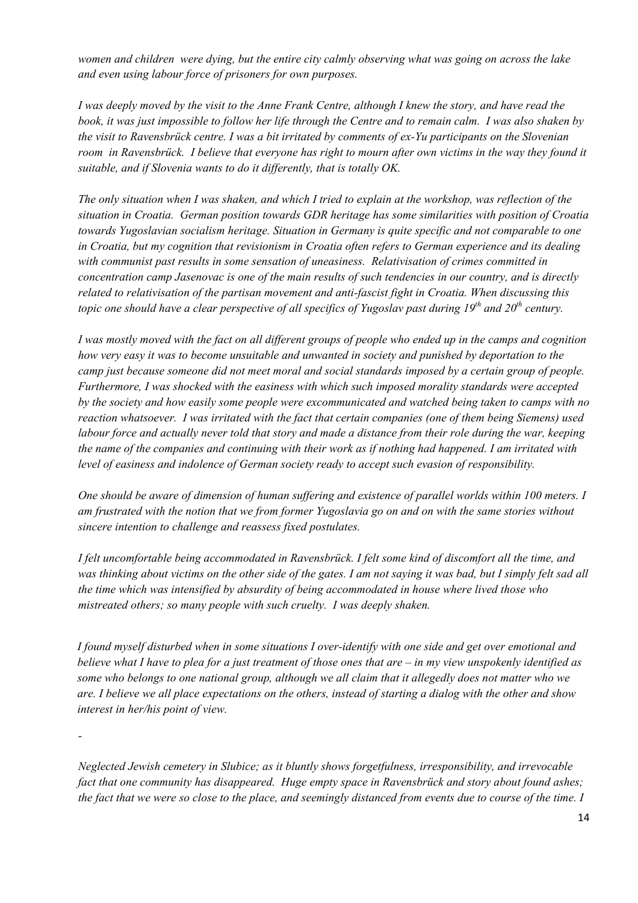*women and children were dying, but the entire city calmly observing what was going on across the lake and even using labour force of prisoners for own purposes.* 

*I was deeply moved by the visit to the Anne Frank Centre, although I knew the story, and have read the book, it was just impossible to follow her life through the Centre and to remain calm. I was also shaken by the visit to Ravensbrück centre. I was a bit irritated by comments of ex-Yu participants on the Slovenian room in Ravensbrück. I believe that everyone has right to mourn after own victims in the way they found it suitable, and if Slovenia wants to do it differently, that is totally OK.* 

*The only situation when I was shaken, and which I tried to explain at the workshop, was reflection of the situation in Croatia. German position towards GDR heritage has some similarities with position of Croatia towards Yugoslavian socialism heritage. Situation in Germany is quite specific and not comparable to one in Croatia, but my cognition that revisionism in Croatia often refers to German experience and its dealing with communist past results in some sensation of uneasiness. Relativisation of crimes committed in concentration camp Jasenovac is one of the main results of such tendencies in our country, and is directly related to relativisation of the partisan movement and anti-fascist fight in Croatia. When discussing this topic one should have a clear perspective of all specifics of Yugoslav past during 19<sup>th</sup> and 20<sup>th</sup> century.* 

*I was mostly moved with the fact on all different groups of people who ended up in the camps and cognition how very easy it was to become unsuitable and unwanted in society and punished by deportation to the camp just because someone did not meet moral and social standards imposed by a certain group of people. Furthermore, I was shocked with the easiness with which such imposed morality standards were accepted by the society and how easily some people were excommunicated and watched being taken to camps with no reaction whatsoever. I was irritated with the fact that certain companies (one of them being Siemens) used labour force and actually never told that story and made a distance from their role during the war, keeping the name of the companies and continuing with their work as if nothing had happened. I am irritated with level of easiness and indolence of German society ready to accept such evasion of responsibility.* 

*One should be aware of dimension of human suffering and existence of parallel worlds within 100 meters. I am frustrated with the notion that we from former Yugoslavia go on and on with the same stories without sincere intention to challenge and reassess fixed postulates.* 

*I felt uncomfortable being accommodated in Ravensbrück. I felt some kind of discomfort all the time, and was thinking about victims on the other side of the gates. I am not saying it was bad, but I simply felt sad all the time which was intensified by absurdity of being accommodated in house where lived those who mistreated others; so many people with such cruelty. I was deeply shaken.* 

*I found myself disturbed when in some situations I over-identify with one side and get over emotional and believe what I have to plea for a just treatment of those ones that are – in my view unspokenly identified as some who belongs to one national group, although we all claim that it allegedly does not matter who we are. I believe we all place expectations on the others, instead of starting a dialog with the other and show interest in her/his point of view.* 

*-* 

*Neglected Jewish cemetery in Slubice; as it bluntly shows forgetfulness, irresponsibility, and irrevocable fact that one community has disappeared. Huge empty space in Ravensbrück and story about found ashes; the fact that we were so close to the place, and seemingly distanced from events due to course of the time. I*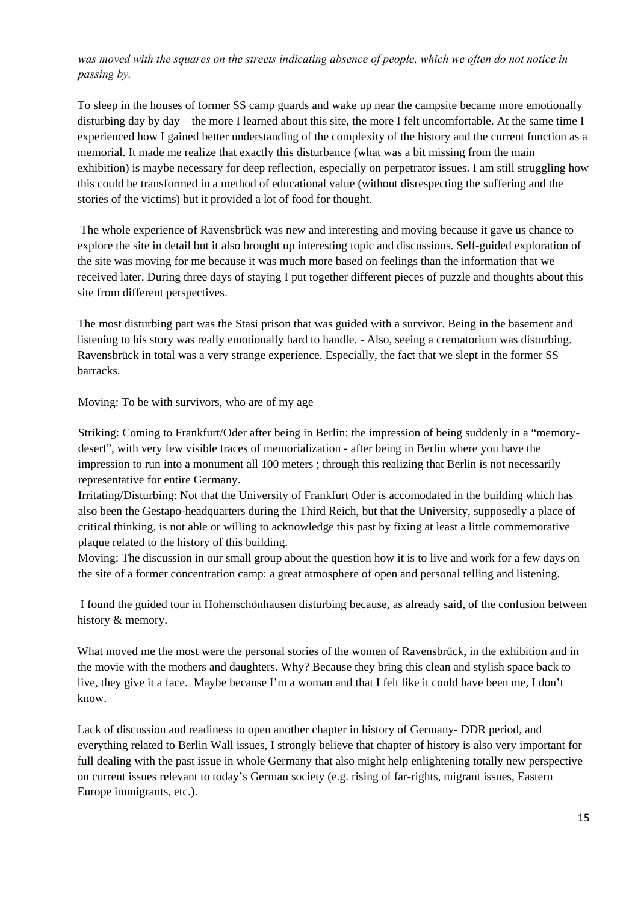*was moved with the squares on the streets indicating absence of people, which we often do not notice in passing by.* 

To sleep in the houses of former SS camp guards and wake up near the campsite became more emotionally disturbing day by day – the more I learned about this site, the more I felt uncomfortable. At the same time I experienced how I gained better understanding of the complexity of the history and the current function as a memorial. It made me realize that exactly this disturbance (what was a bit missing from the main exhibition) is maybe necessary for deep reflection, especially on perpetrator issues. I am still struggling how this could be transformed in a method of educational value (without disrespecting the suffering and the stories of the victims) but it provided a lot of food for thought.

 The whole experience of Ravensbrück was new and interesting and moving because it gave us chance to explore the site in detail but it also brought up interesting topic and discussions. Self-guided exploration of the site was moving for me because it was much more based on feelings than the information that we received later. During three days of staying I put together different pieces of puzzle and thoughts about this site from different perspectives.

The most disturbing part was the Stasi prison that was guided with a survivor. Being in the basement and listening to his story was really emotionally hard to handle. - Also, seeing a crematorium was disturbing. Ravensbrück in total was a very strange experience. Especially, the fact that we slept in the former SS barracks.

Moving: To be with survivors, who are of my age

Striking: Coming to Frankfurt/Oder after being in Berlin: the impression of being suddenly in a "memorydesert", with very few visible traces of memorialization - after being in Berlin where you have the impression to run into a monument all 100 meters ; through this realizing that Berlin is not necessarily representative for entire Germany.

Irritating/Disturbing: Not that the University of Frankfurt Oder is accomodated in the building which has also been the Gestapo-headquarters during the Third Reich, but that the University, supposedly a place of critical thinking, is not able or willing to acknowledge this past by fixing at least a little commemorative plaque related to the history of this building.

Moving: The discussion in our small group about the question how it is to live and work for a few days on the site of a former concentration camp: a great atmosphere of open and personal telling and listening.

 I found the guided tour in Hohenschönhausen disturbing because, as already said, of the confusion between history & memory.

What moved me the most were the personal stories of the women of Ravensbrück, in the exhibition and in the movie with the mothers and daughters. Why? Because they bring this clean and stylish space back to live, they give it a face. Maybe because I'm a woman and that I felt like it could have been me, I don't know.

Lack of discussion and readiness to open another chapter in history of Germany- DDR period, and everything related to Berlin Wall issues, I strongly believe that chapter of history is also very important for full dealing with the past issue in whole Germany that also might help enlightening totally new perspective on current issues relevant to today's German society (e.g. rising of far-rights, migrant issues, Eastern Europe immigrants, etc.).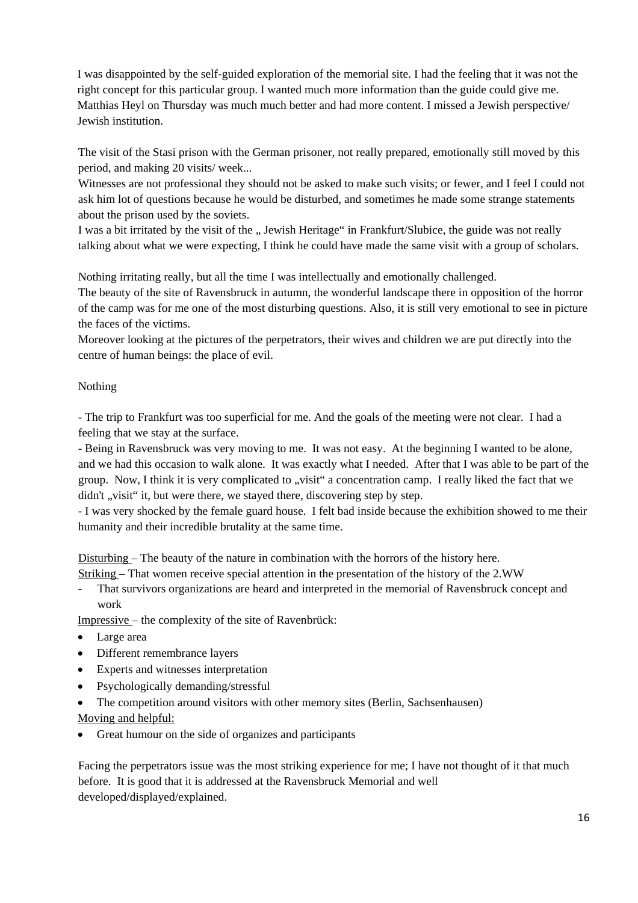I was disappointed by the self-guided exploration of the memorial site. I had the feeling that it was not the right concept for this particular group. I wanted much more information than the guide could give me. Matthias Heyl on Thursday was much much better and had more content. I missed a Jewish perspective/ Jewish institution.

The visit of the Stasi prison with the German prisoner, not really prepared, emotionally still moved by this period, and making 20 visits/ week...

Witnesses are not professional they should not be asked to make such visits; or fewer, and I feel I could not ask him lot of questions because he would be disturbed, and sometimes he made some strange statements about the prison used by the soviets.

I was a bit irritated by the visit of the " Jewish Heritage" in Frankfurt/Slubice, the guide was not really talking about what we were expecting, I think he could have made the same visit with a group of scholars.

Nothing irritating really, but all the time I was intellectually and emotionally challenged.

The beauty of the site of Ravensbruck in autumn, the wonderful landscape there in opposition of the horror of the camp was for me one of the most disturbing questions. Also, it is still very emotional to see in picture the faces of the victims.

Moreover looking at the pictures of the perpetrators, their wives and children we are put directly into the centre of human beings: the place of evil.

#### Nothing

- The trip to Frankfurt was too superficial for me. And the goals of the meeting were not clear. I had a feeling that we stay at the surface.

- Being in Ravensbruck was very moving to me. It was not easy. At the beginning I wanted to be alone, and we had this occasion to walk alone. It was exactly what I needed. After that I was able to be part of the group. Now, I think it is very complicated to "visit" a concentration camp. I really liked the fact that we didn't , visit "it, but were there, we stayed there, discovering step by step.

- I was very shocked by the female guard house. I felt bad inside because the exhibition showed to me their humanity and their incredible brutality at the same time.

Disturbing – The beauty of the nature in combination with the horrors of the history here.

Striking – That women receive special attention in the presentation of the history of the 2.WW

- That survivors organizations are heard and interpreted in the memorial of Ravensbruck concept and work

Impressive – the complexity of the site of Ravenbrück:

- Large area
- Different remembrance layers
- Experts and witnesses interpretation
- Psychologically demanding/stressful
- The competition around visitors with other memory sites (Berlin, Sachsenhausen) Moving and helpful:
- Great humour on the side of organizes and participants

Facing the perpetrators issue was the most striking experience for me; I have not thought of it that much before. It is good that it is addressed at the Ravensbruck Memorial and well developed/displayed/explained.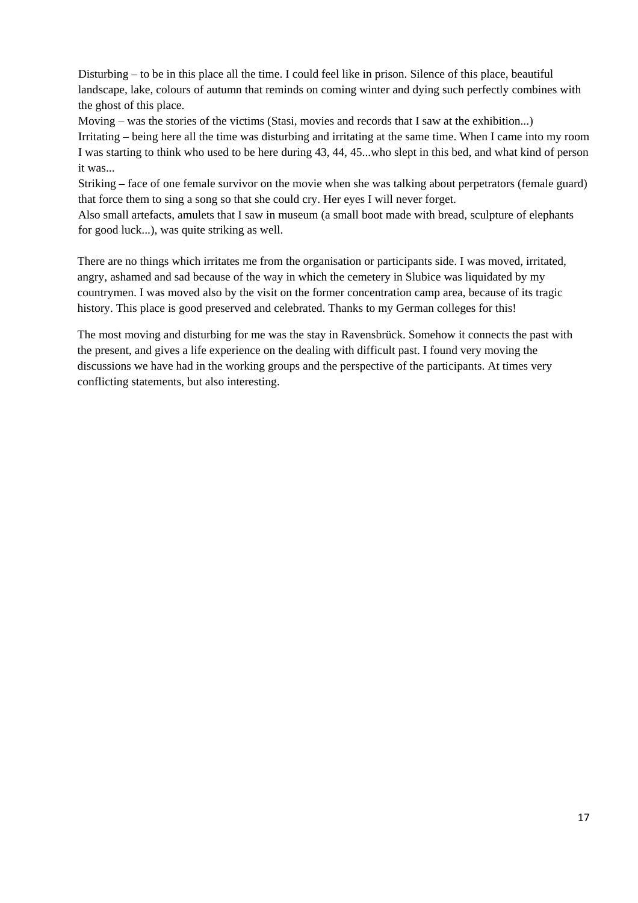Disturbing – to be in this place all the time. I could feel like in prison. Silence of this place, beautiful landscape, lake, colours of autumn that reminds on coming winter and dying such perfectly combines with the ghost of this place.

Moving – was the stories of the victims (Stasi, movies and records that I saw at the exhibition...)

Irritating – being here all the time was disturbing and irritating at the same time. When I came into my room I was starting to think who used to be here during 43, 44, 45...who slept in this bed, and what kind of person it was...

Striking – face of one female survivor on the movie when she was talking about perpetrators (female guard) that force them to sing a song so that she could cry. Her eyes I will never forget.

Also small artefacts, amulets that I saw in museum (a small boot made with bread, sculpture of elephants for good luck...), was quite striking as well.

There are no things which irritates me from the organisation or participants side. I was moved, irritated, angry, ashamed and sad because of the way in which the cemetery in Slubice was liquidated by my countrymen. I was moved also by the visit on the former concentration camp area, because of its tragic history. This place is good preserved and celebrated. Thanks to my German colleges for this!

The most moving and disturbing for me was the stay in Ravensbrück. Somehow it connects the past with the present, and gives a life experience on the dealing with difficult past. I found very moving the discussions we have had in the working groups and the perspective of the participants. At times very conflicting statements, but also interesting.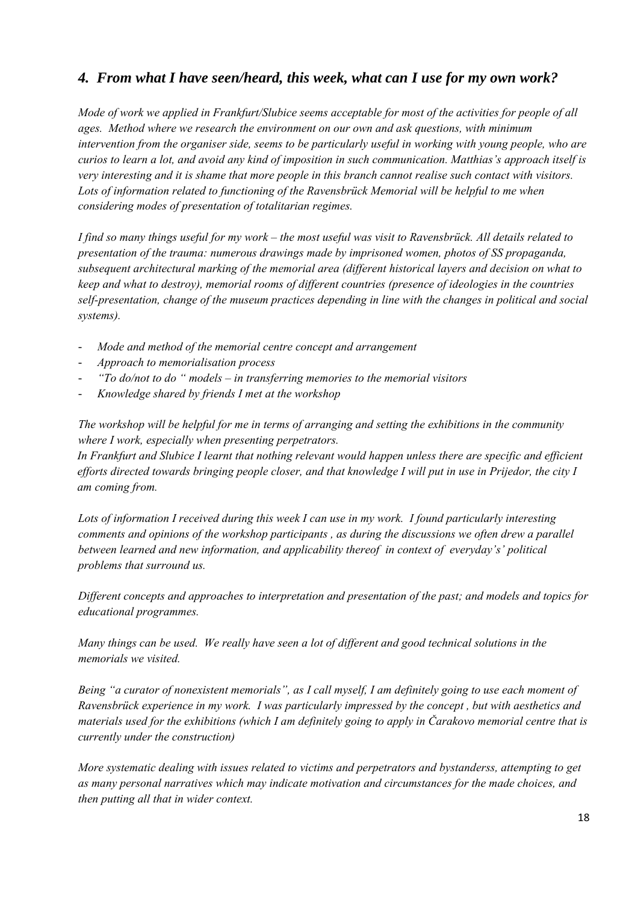### *4. From what I have seen/heard, this week, what can I use for my own work?*

*Mode of work we applied in Frankfurt/Slubice seems acceptable for most of the activities for people of all ages. Method where we research the environment on our own and ask questions, with minimum intervention from the organiser side, seems to be particularly useful in working with young people, who are curios to learn a lot, and avoid any kind of imposition in such communication. Matthias's approach itself is very interesting and it is shame that more people in this branch cannot realise such contact with visitors. Lots of information related to functioning of the Ravensbrück Memorial will be helpful to me when considering modes of presentation of totalitarian regimes.* 

*I find so many things useful for my work – the most useful was visit to Ravensbrück. All details related to presentation of the trauma: numerous drawings made by imprisoned women, photos of SS propaganda, subsequent architectural marking of the memorial area (different historical layers and decision on what to keep and what to destroy), memorial rooms of different countries (presence of ideologies in the countries self-presentation, change of the museum practices depending in line with the changes in political and social systems).* 

- *Mode and method of the memorial centre concept and arrangement*
- *Approach to memorialisation process*
- *"To do/not to do " models in transferring memories to the memorial visitors*
- *Knowledge shared by friends I met at the workshop*

*The workshop will be helpful for me in terms of arranging and setting the exhibitions in the community where I work, especially when presenting perpetrators.* 

*In Frankfurt and Slubice I learnt that nothing relevant would happen unless there are specific and efficient efforts directed towards bringing people closer, and that knowledge I will put in use in Prijedor, the city I am coming from.* 

*Lots of information I received during this week I can use in my work. I found particularly interesting comments and opinions of the workshop participants , as during the discussions we often drew a parallel between learned and new information, and applicability thereof in context of everyday's' political problems that surround us.* 

*Different concepts and approaches to interpretation and presentation of the past; and models and topics for educational programmes.* 

*Many things can be used. We really have seen a lot of different and good technical solutions in the memorials we visited.* 

*Being "a curator of nonexistent memorials", as I call myself, I am definitely going to use each moment of Ravensbrück experience in my work. I was particularly impressed by the concept , but with aesthetics and materials used for the exhibitions (which I am definitely going to apply in Čarakovo memorial centre that is currently under the construction)* 

*More systematic dealing with issues related to victims and perpetrators and bystanderss, attempting to get as many personal narratives which may indicate motivation and circumstances for the made choices, and then putting all that in wider context.*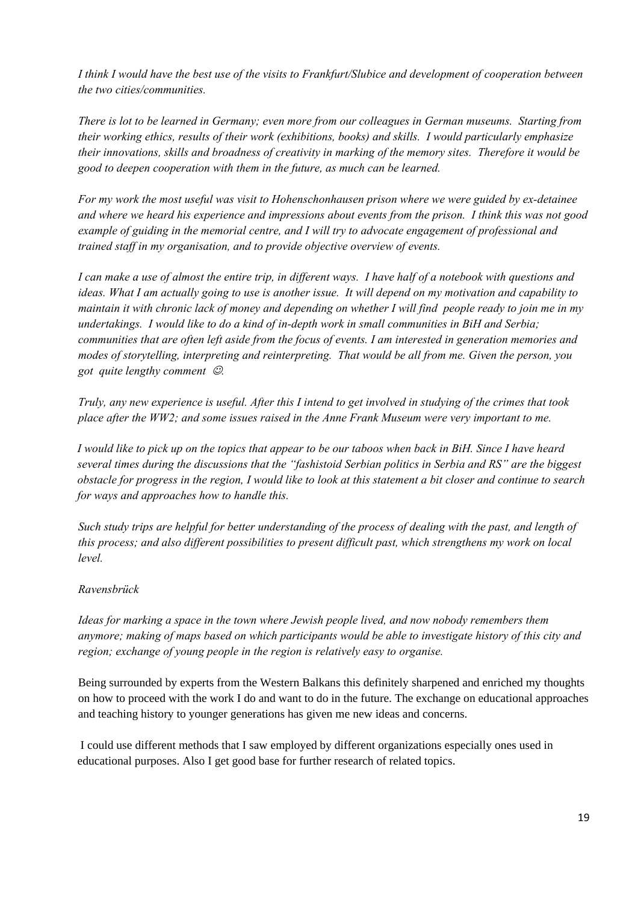*I think I would have the best use of the visits to Frankfurt/Slubice and development of cooperation between the two cities/communities.* 

*There is lot to be learned in Germany; even more from our colleagues in German museums. Starting from their working ethics, results of their work (exhibitions, books) and skills. I would particularly emphasize their innovations, skills and broadness of creativity in marking of the memory sites. Therefore it would be good to deepen cooperation with them in the future, as much can be learned.* 

*For my work the most useful was visit to Hohenschonhausen prison where we were guided by ex-detainee and where we heard his experience and impressions about events from the prison. I think this was not good example of guiding in the memorial centre, and I will try to advocate engagement of professional and trained staff in my organisation, and to provide objective overview of events.* 

*I can make a use of almost the entire trip, in different ways. I have half of a notebook with questions and ideas. What I am actually going to use is another issue. It will depend on my motivation and capability to maintain it with chronic lack of money and depending on whether I will find people ready to join me in my undertakings. I would like to do a kind of in-depth work in small communities in BiH and Serbia; communities that are often left aside from the focus of events. I am interested in generation memories and modes of storytelling, interpreting and reinterpreting. That would be all from me. Given the person, you got quite lengthy comment* ☺*.* 

*Truly, any new experience is useful. After this I intend to get involved in studying of the crimes that took place after the WW2; and some issues raised in the Anne Frank Museum were very important to me.* 

*I would like to pick up on the topics that appear to be our taboos when back in BiH. Since I have heard several times during the discussions that the "fashistoid Serbian politics in Serbia and RS" are the biggest obstacle for progress in the region, I would like to look at this statement a bit closer and continue to search for ways and approaches how to handle this.* 

*Such study trips are helpful for better understanding of the process of dealing with the past, and length of this process; and also different possibilities to present difficult past, which strengthens my work on local level.* 

#### *Ravensbrück*

*Ideas for marking a space in the town where Jewish people lived, and now nobody remembers them anymore; making of maps based on which participants would be able to investigate history of this city and region; exchange of young people in the region is relatively easy to organise.* 

Being surrounded by experts from the Western Balkans this definitely sharpened and enriched my thoughts on how to proceed with the work I do and want to do in the future. The exchange on educational approaches and teaching history to younger generations has given me new ideas and concerns.

 I could use different methods that I saw employed by different organizations especially ones used in educational purposes. Also I get good base for further research of related topics.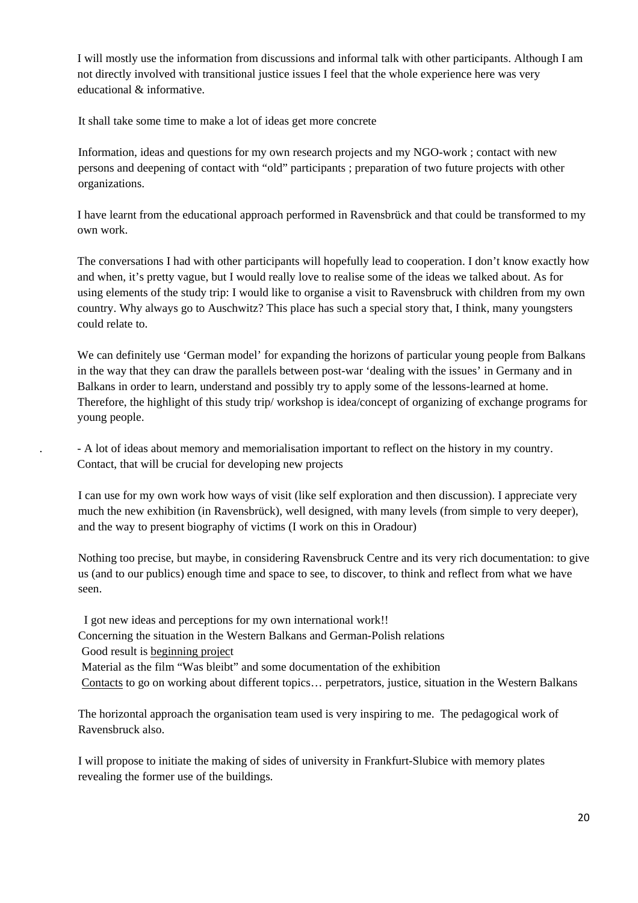I will mostly use the information from discussions and informal talk with other participants. Although I am not directly involved with transitional justice issues I feel that the whole experience here was very educational & informative.

It shall take some time to make a lot of ideas get more concrete

Information, ideas and questions for my own research projects and my NGO-work ; contact with new persons and deepening of contact with "old" participants ; preparation of two future projects with other organizations.

I have learnt from the educational approach performed in Ravensbrück and that could be transformed to my own work.

The conversations I had with other participants will hopefully lead to cooperation. I don't know exactly how and when, it's pretty vague, but I would really love to realise some of the ideas we talked about. As for using elements of the study trip: I would like to organise a visit to Ravensbruck with children from my own country. Why always go to Auschwitz? This place has such a special story that, I think, many youngsters could relate to.

We can definitely use 'German model' for expanding the horizons of particular young people from Balkans in the way that they can draw the parallels between post-war 'dealing with the issues' in Germany and in Balkans in order to learn, understand and possibly try to apply some of the lessons-learned at home. Therefore, the highlight of this study trip/ workshop is idea/concept of organizing of exchange programs for young people.

. - A lot of ideas about memory and memorialisation important to reflect on the history in my country. Contact, that will be crucial for developing new projects

I can use for my own work how ways of visit (like self exploration and then discussion). I appreciate very much the new exhibition (in Ravensbrück), well designed, with many levels (from simple to very deeper), and the way to present biography of victims (I work on this in Oradour)

Nothing too precise, but maybe, in considering Ravensbruck Centre and its very rich documentation: to give us (and to our publics) enough time and space to see, to discover, to think and reflect from what we have seen.

I got new ideas and perceptions for my own international work!!

Concerning the situation in the Western Balkans and German-Polish relations

Good result is beginning project

Material as the film "Was bleibt" and some documentation of the exhibition

Contacts to go on working about different topics… perpetrators, justice, situation in the Western Balkans

The horizontal approach the organisation team used is very inspiring to me. The pedagogical work of Ravensbruck also.

I will propose to initiate the making of sides of university in Frankfurt-Slubice with memory plates revealing the former use of the buildings.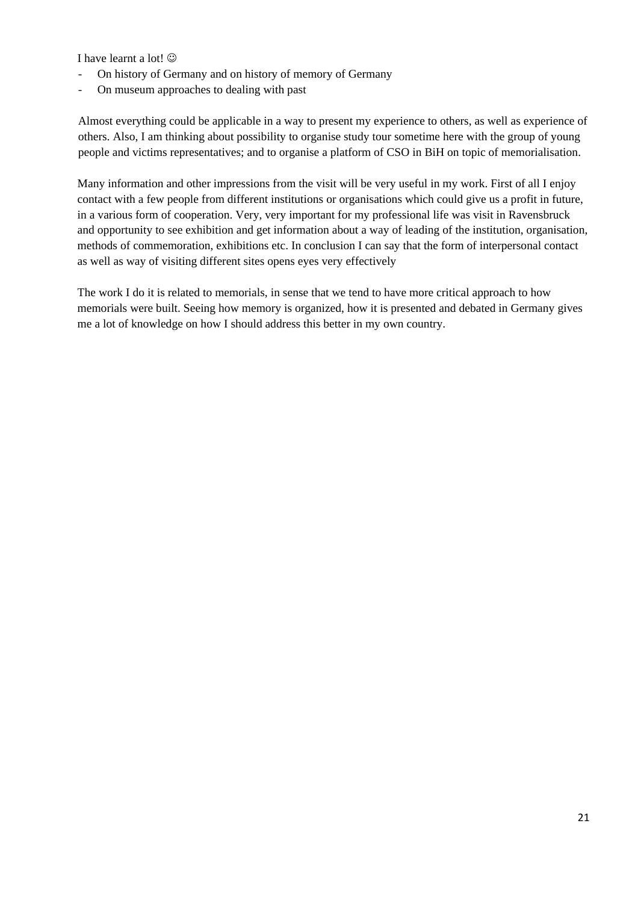I have learnt a lot!  $\odot$ 

- On history of Germany and on history of memory of Germany
- On museum approaches to dealing with past

Almost everything could be applicable in a way to present my experience to others, as well as experience of others. Also, I am thinking about possibility to organise study tour sometime here with the group of young people and victims representatives; and to organise a platform of CSO in BiH on topic of memorialisation.

Many information and other impressions from the visit will be very useful in my work. First of all I enjoy contact with a few people from different institutions or organisations which could give us a profit in future, in a various form of cooperation. Very, very important for my professional life was visit in Ravensbruck and opportunity to see exhibition and get information about a way of leading of the institution, organisation, methods of commemoration, exhibitions etc. In conclusion I can say that the form of interpersonal contact as well as way of visiting different sites opens eyes very effectively

The work I do it is related to memorials, in sense that we tend to have more critical approach to how memorials were built. Seeing how memory is organized, how it is presented and debated in Germany gives me a lot of knowledge on how I should address this better in my own country.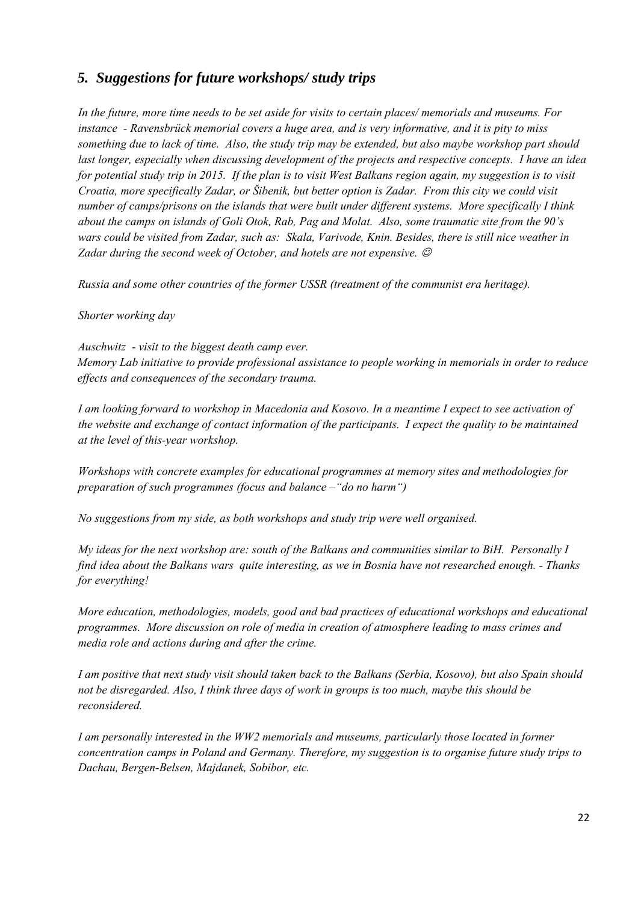#### *5. Suggestions for future workshops/ study trips*

*In the future, more time needs to be set aside for visits to certain places/ memorials and museums. For instance - Ravensbrück memorial covers a huge area, and is very informative, and it is pity to miss something due to lack of time. Also, the study trip may be extended, but also maybe workshop part should last longer, especially when discussing development of the projects and respective concepts. I have an idea for potential study trip in 2015. If the plan is to visit West Balkans region again, my suggestion is to visit Croatia, more specifically Zadar, or Šibenik, but better option is Zadar. From this city we could visit number of camps/prisons on the islands that were built under different systems. More specifically I think about the camps on islands of Goli Otok, Rab, Pag and Molat. Also, some traumatic site from the 90's wars could be visited from Zadar, such as: Skala, Varivode, Knin. Besides, there is still nice weather in Zadar during the second week of October, and hotels are not expensive.*  $\odot$ 

*Russia and some other countries of the former USSR (treatment of the communist era heritage).* 

#### *Shorter working day*

*Auschwitz - visit to the biggest death camp ever. Memory Lab initiative to provide professional assistance to people working in memorials in order to reduce effects and consequences of the secondary trauma.* 

*I am looking forward to workshop in Macedonia and Kosovo. In a meantime I expect to see activation of the website and exchange of contact information of the participants. I expect the quality to be maintained at the level of this-year workshop.* 

*Workshops with concrete examples for educational programmes at memory sites and methodologies for preparation of such programmes (focus and balance –"do no harm")* 

*No suggestions from my side, as both workshops and study trip were well organised.* 

*My ideas for the next workshop are: south of the Balkans and communities similar to BiH. Personally I find idea about the Balkans wars quite interesting, as we in Bosnia have not researched enough. - Thanks for everything!* 

*More education, methodologies, models, good and bad practices of educational workshops and educational programmes. More discussion on role of media in creation of atmosphere leading to mass crimes and media role and actions during and after the crime.* 

*I am positive that next study visit should taken back to the Balkans (Serbia, Kosovo), but also Spain should not be disregarded. Also, I think three days of work in groups is too much, maybe this should be reconsidered.* 

*I am personally interested in the WW2 memorials and museums, particularly those located in former concentration camps in Poland and Germany. Therefore, my suggestion is to organise future study trips to Dachau, Bergen-Belsen, Majdanek, Sobibor, etc.*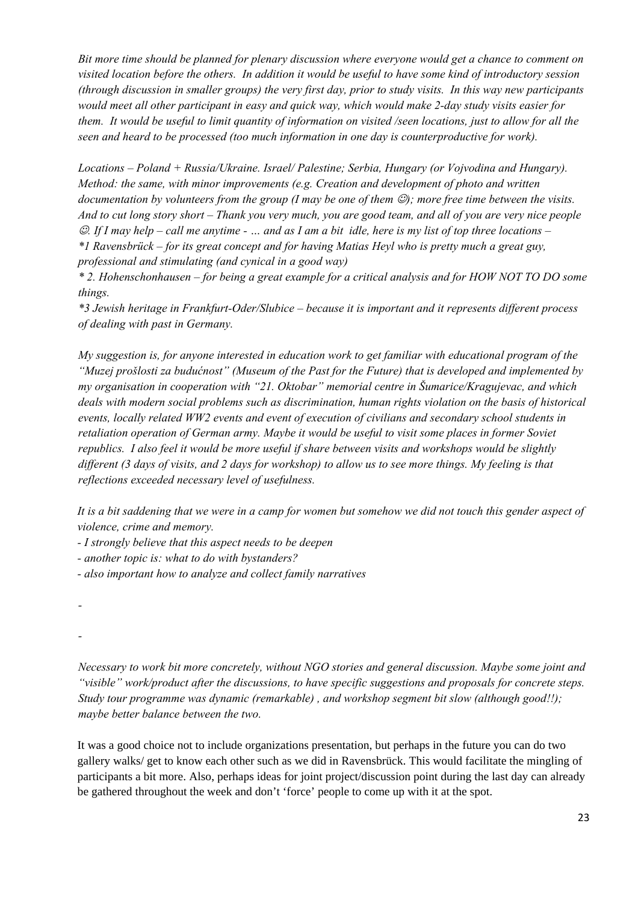*Bit more time should be planned for plenary discussion where everyone would get a chance to comment on visited location before the others. In addition it would be useful to have some kind of introductory session (through discussion in smaller groups) the very first day, prior to study visits. In this way new participants would meet all other participant in easy and quick way, which would make 2-day study visits easier for them. It would be useful to limit quantity of information on visited /seen locations, just to allow for all the seen and heard to be processed (too much information in one day is counterproductive for work).* 

*Locations – Poland + Russia/Ukraine. Israel/ Palestine; Serbia, Hungary (or Vojvodina and Hungary). Method: the same, with minor improvements (e.g. Creation and development of photo and written documentation by volunteers from the group (I may be one of them*  $\mathcal{O}$ *); more free time between the visits. And to cut long story short – Thank you very much, you are good team, and all of you are very nice people*  ☺*. If I may help – call me anytime - … and as I am a bit idle, here is my list of top three locations – \*1 Ravensbrück – for its great concept and for having Matias Heyl who is pretty much a great guy, professional and stimulating (and cynical in a good way)* 

*\* 2. Hohenschonhausen – for being a great example for a critical analysis and for HOW NOT TO DO some things.* 

*\*3 Jewish heritage in Frankfurt-Oder/Slubice – because it is important and it represents different process of dealing with past in Germany.* 

*My suggestion is, for anyone interested in education work to get familiar with educational program of the "Muzej prošlosti za budućnost" (Museum of the Past for the Future) that is developed and implemented by my organisation in cooperation with "21. Oktobar" memorial centre in Šumarice/Kragujevac, and which deals with modern social problems such as discrimination, human rights violation on the basis of historical events, locally related WW2 events and event of execution of civilians and secondary school students in retaliation operation of German army. Maybe it would be useful to visit some places in former Soviet republics. I also feel it would be more useful if share between visits and workshops would be slightly different (3 days of visits, and 2 days for workshop) to allow us to see more things. My feeling is that reflections exceeded necessary level of usefulness.* 

*It is a bit saddening that we were in a camp for women but somehow we did not touch this gender aspect of violence, crime and memory.* 

- *I strongly believe that this aspect needs to be deepen*
- *another topic is: what to do with bystanders?*
- *also important how to analyze and collect family narratives*

*-* 

*-* 

*Necessary to work bit more concretely, without NGO stories and general discussion. Maybe some joint and "visible" work/product after the discussions, to have specific suggestions and proposals for concrete steps. Study tour programme was dynamic (remarkable) , and workshop segment bit slow (although good!!); maybe better balance between the two.* 

It was a good choice not to include organizations presentation, but perhaps in the future you can do two gallery walks/ get to know each other such as we did in Ravensbrück. This would facilitate the mingling of participants a bit more. Also, perhaps ideas for joint project/discussion point during the last day can already be gathered throughout the week and don't 'force' people to come up with it at the spot.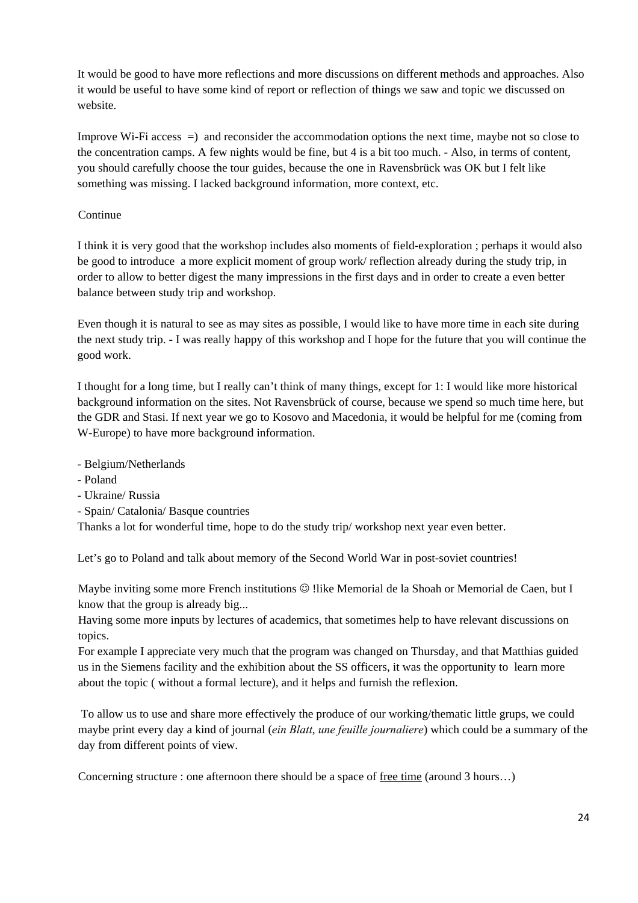It would be good to have more reflections and more discussions on different methods and approaches. Also it would be useful to have some kind of report or reflection of things we saw and topic we discussed on website.

Improve Wi-Fi access =) and reconsider the accommodation options the next time, maybe not so close to the concentration camps. A few nights would be fine, but 4 is a bit too much. - Also, in terms of content, you should carefully choose the tour guides, because the one in Ravensbrück was OK but I felt like something was missing. I lacked background information, more context, etc.

#### **Continue**

I think it is very good that the workshop includes also moments of field-exploration ; perhaps it would also be good to introduce a more explicit moment of group work/ reflection already during the study trip, in order to allow to better digest the many impressions in the first days and in order to create a even better balance between study trip and workshop.

Even though it is natural to see as may sites as possible, I would like to have more time in each site during the next study trip. - I was really happy of this workshop and I hope for the future that you will continue the good work.

I thought for a long time, but I really can't think of many things, except for 1: I would like more historical background information on the sites. Not Ravensbrück of course, because we spend so much time here, but the GDR and Stasi. If next year we go to Kosovo and Macedonia, it would be helpful for me (coming from W-Europe) to have more background information.

- Belgium/Netherlands
- Poland
- Ukraine/ Russia
- Spain/ Catalonia/ Basque countries

Thanks a lot for wonderful time, hope to do the study trip/ workshop next year even better.

Let's go to Poland and talk about memory of the Second World War in post-soviet countries!

Maybe inviting some more French institutions  $\odot$  !like Memorial de la Shoah or Memorial de Caen, but I know that the group is already big...

Having some more inputs by lectures of academics, that sometimes help to have relevant discussions on topics.

For example I appreciate very much that the program was changed on Thursday, and that Matthias guided us in the Siemens facility and the exhibition about the SS officers, it was the opportunity to learn more about the topic ( without a formal lecture), and it helps and furnish the reflexion.

 To allow us to use and share more effectively the produce of our working/thematic little grups, we could maybe print every day a kind of journal (*ein Blatt*, *une feuille journaliere*) which could be a summary of the day from different points of view.

Concerning structure : one afternoon there should be a space of free time (around 3 hours…)